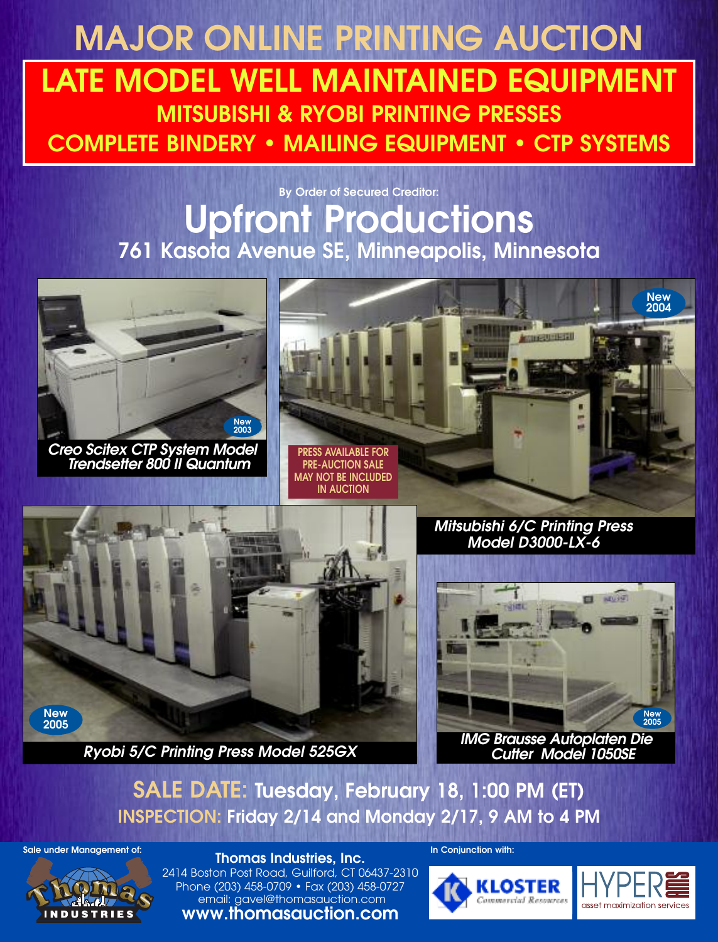# **MAJOR ONLINE PRINTING AUCTION LATE MODEL WELL MAINTAINED EQUIPMENT MITSUBISHI & RYOBI PRINTING PRESSES COMPLETE BINDERY • MAILING EQUIPMENT • CTP SYSTEMS**

## **By Order of Secured Creditor: Upfront Productions 761 Kasota Avenue SE, Minneapolis, Minnesota**



*Creo Scitex CTP System Model Trendsetter 800 II Quantum*





*Mitsubishi 6/C Printing Press Model D3000-LX-6*



*IMG Brausse Autoplaten Die Cutter Model 1050SE*

**SALE DATE: Tuesday, February 18, 1:00 PM (ET) INSPECTION: Friday 2/14 and Monday 2/17, 9 AM to 4 PM**

**Sale under Management of: In Conjunction with:**



**Thomas Industries, Inc.** 2414 Boston Post Road, Guilford, CT 06437-2310 Phone (203) 458-0709 • Fax (203) 458-0727 email: gavel@thomasauction.com **www.thomasauction.com**

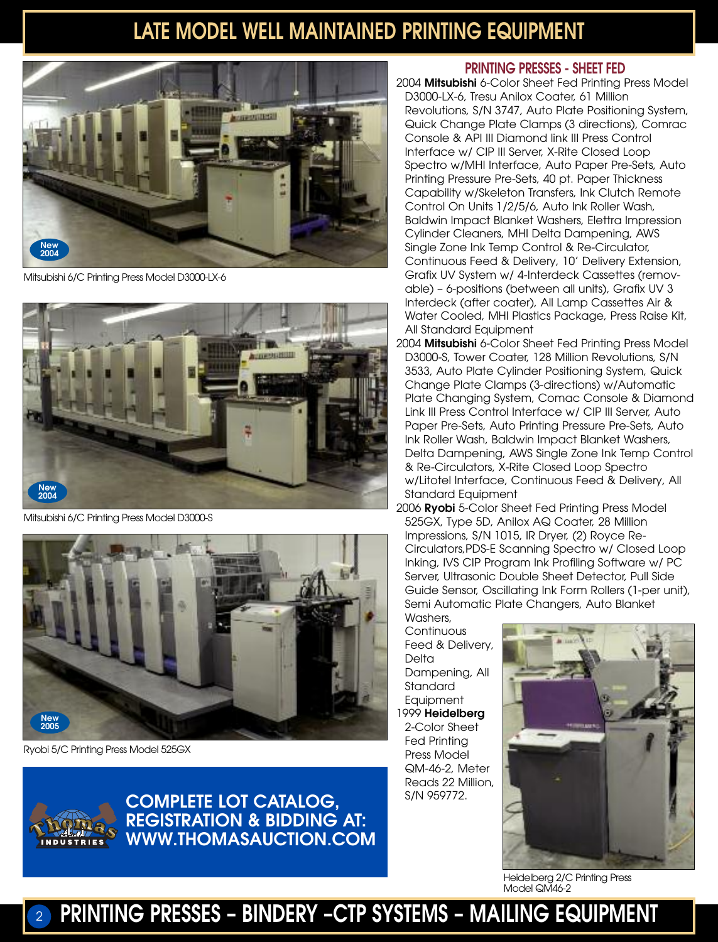## **LATE MODEL WELL MAINTAINED PRINTING EQUIPMENT**



Mitsubishi 6/C Printing Press Model D3000-LX-6



Mitsubishi 6/C Printing Press Model D3000-S



Ryobi 5/C Printing Press Model 525GX



S/N 959772. **COMPLETE LOT CATALOG, REGISTRATION & BIDDING AT: WWW.THOMASAUCTION.COM**

#### **PRINTING PRESSES - SHEET FED**

2004 **Mitsubishi** 6-Color Sheet Fed Printing Press Model D3000-LX-6, Tresu Anilox Coater, 61 Million Revolutions, S/N 3747, Auto Plate Positioning System, Quick Change Plate Clamps (3 directions), Comrac Console & API III Diamond link III Press Control Interface w/ CIP III Server, X-Rite Closed Loop Spectro w/MHI Interface, Auto Paper Pre-Sets, Auto Printing Pressure Pre-Sets, 40 pt. Paper Thickness Capability w/Skeleton Transfers, Ink Clutch Remote Control On Units 1/2/5/6, Auto Ink Roller Wash, Baldwin Impact Blanket Washers, Elettra Impression Cylinder Cleaners, MHI Delta Dampening, AWS Single Zone Ink Temp Control & Re-Circulator, Continuous Feed & Delivery, 10' Delivery Extension, Grafix UV System w/ 4-Interdeck Cassettes (removable) – 6-positions (between all units), Grafix UV 3 Interdeck (after coater), All Lamp Cassettes Air & Water Cooled, MHI Plastics Package, Press Raise Kit, All Standard Equipment

- 2004 **Mitsubishi** 6-Color Sheet Fed Printing Press Model D3000-S, Tower Coater, 128 Million Revolutions, S/N 3533, Auto Plate Cylinder Positioning System, Quick Change Plate Clamps (3-directions) w/Automatic Plate Changing System, Comac Console & Diamond Link III Press Control Interface w/ CIP III Server, Auto Paper Pre-Sets, Auto Printing Pressure Pre-Sets, Auto Ink Roller Wash, Baldwin Impact Blanket Washers, Delta Dampening, AWS Single Zone Ink Temp Control & Re-Circulators, X-Rite Closed Loop Spectro w/Litotel Interface, Continuous Feed & Delivery, All Standard Equipment
- 2006 **Ryobi** 5-Color Sheet Fed Printing Press Model 525GX, Type 5D, Anilox AQ Coater, 28 Million Impressions, S/N 1015, IR Dryer, (2) Royce Re-Circulators,PDS-E Scanning Spectro w/ Closed Loop Inking, IVS CIP Program Ink Profiling Software w/ PC Server, Ultrasonic Double Sheet Detector, Pull Side Guide Sensor, Oscillating Ink Form Rollers (1-per unit), Semi Automatic Plate Changers, Auto Blanket

Washers, **Continuous** Feed & Delivery, **Delta** Dampening, All Standard **Equipment** 1999 **Heidelberg** 2-Color Sheet Fed Printing Press Model QM-46-2, Meter Reads 22 Million,



Heidelberg 2/C Printing Press Model QM46-2

### <sup>2</sup> **PRINTING PRESSES – BINDERY –CTP SYSTEMS – MAILING EQUIPMENT**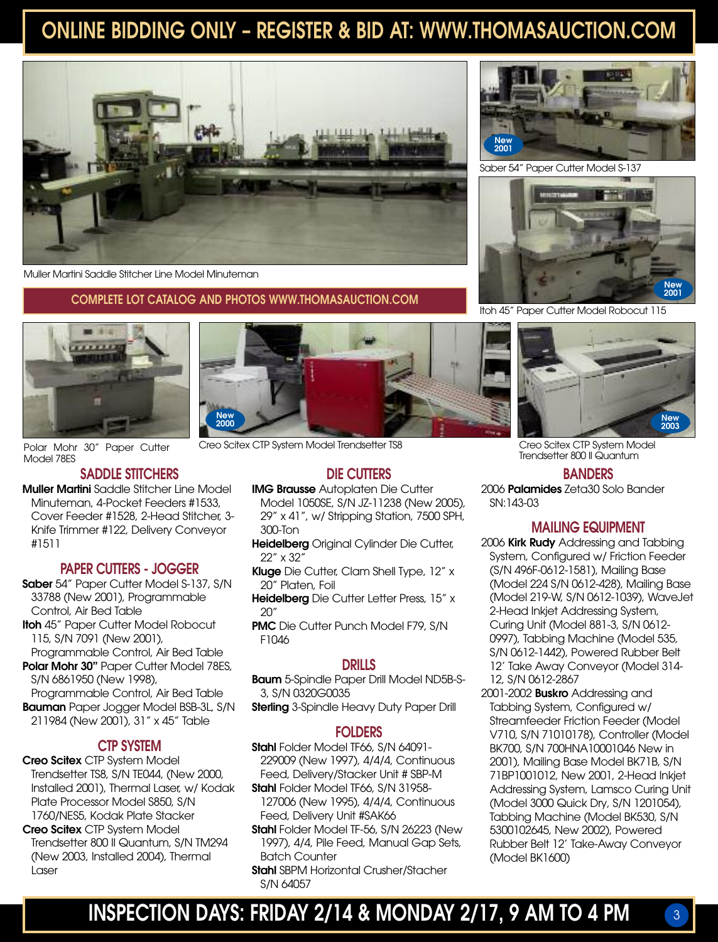## **ONLINE BIDDING ONLY – REGISTER & BID AT: WWW.THOMASAUCTION.COM**



Muller Martini Saddle Stitcher Line Model Minuteman

#### **COMPLETE LOT CATALOG AND PHOTOS WWW.THOMASAUCTION.COM**



Model 78ES

#### **SADDLE STITCHERS**

**Muller Martini** Saddle Stitcher Line Model Minuteman, 4-Pocket Feeders #1533, Cover Feeder #1528, 2-Head Stitcher, 3- Knife Trimmer #122, Delivery Conveyor #1511

#### **PAPER CUTTERS - JOGGER**

- **Saber** 54" Paper Cutter Model S-137, S/N 33788 (New 2001), Programmable Control, Air Bed Table
- **Itoh** 45" Paper Cutter Model Robocut 115, S/N 7091 (New 2001), Programmable Control, Air Bed Table
- **Polar Mohr 30"** Paper Cutter Model 78ES, S/N 6861950 (New 1998), Programmable Control, Air Bed Table **Bauman** Paper Jogger Model BSB-3L, S/N 211984 (New 2001), 31" x 45" Table

#### **CTP SYSTEM**

- **Creo Scitex** CTP System Model Trendsetter TS8, S/N TE044, (New 2000, Installed 2001), Thermal Laser, w/ Kodak Plate Processor Model S850, S/N 1760/NES5, Kodak Plate Stacker
- **Creo Scitex** CTP System Model Trendsetter 800 II Quantum, S/N TM294 (New 2003, Installed 2004), Thermal Laser

**New <sup>2000</sup> New <sup>2003</sup>**

Polar Mohr 30" Paper Cutter Creo Scitex CTP System Model Trendsetter TS8

#### **DIE CUTTERS**

- **IMG Brausse** Autoplaten Die Cutter Model 1050SE, S/N JZ-11238 (New 2005), 29" x 41", w/ Stripping Station, 7500 SPH, 300-Ton
- **Heidelberg** Original Cylinder Die Cutter, 22" x 32"
- **Kluge** Die Cutter, Clam Shell Type, 12" x 20" Platen, Foil
- **Heidelberg** Die Cutter Letter Press, 15" x  $20"$
- **PMC** Die Cutter Punch Model F79, S/N F1046

#### **DRILLS**

**Baum** 5-Spindle Paper Drill Model ND5B-S-3, S/N 0320G0035

**Sterling** 3-Spindle Heavy Duty Paper Drill

#### **FOLDERS**

- **Stahl** Folder Model TF66, S/N 64091-229009 (New 1997), 4/4/4, Continuous Feed, Delivery/Stacker Unit # SBP-M
- **Stahl** Folder Model TF66, S/N 31958-127006 (New 1995), 4/4/4, Continuous Feed, Delivery Unit #SAK66
- **Stahl** Folder Model TF-56, S/N 26223 (New 1997), 4/4, Pile Feed, Manual Gap Sets, Batch Counter
- **Stahl** SBPM Horizontal Crusher/Stacher S/N 64057



Saber 54" Paper Cutter Model S-137



Itoh 45" Paper Cutter Model Robocut 115



Creo Scitex CTP System Model Trendsetter 800 II Quantum

#### **BANDERS**

2006 **Palamides** Zeta30 Solo Bander SN:143-03

#### **MAILING EQUIPMENT**

- 2006 **Kirk Rudy** Addressing and Tabbing System, Configured w/ Friction Feeder (S/N 496F-0612-1581), Mailing Base (Model 224 S/N 0612-428), Mailing Base (Model 219-W, S/N 0612-1039), WaveJet 2-Head Inkjet Addressing System, Curing Unit (Model 881-3, S/N 0612- 0997), Tabbing Machine (Model 535, S/N 0612-1442), Powered Rubber Belt 12' Take Away Conveyor (Model 314- 12, S/N 0612-2867
- 2001-2002 **Buskro** Addressing and Tabbing System, Configured w/ Streamfeeder Friction Feeder (Model V710, S/N 71010178), Controller (Model BK700, S/N 700HNA10001046 New in 2001), Mailing Base Model BK71B, S/N 71BP1001012, New 2001, 2-Head Inkjet Addressing System, Lamsco Curing Unit (Model 3000 Quick Dry, S/N 1201054), Tabbing Machine (Model BK530, S/N 5300102645, New 2002), Powered Rubber Belt 12' Take-Away Conveyor (Model BK1600)

3

**INSPECTION DAYS: FRIDAY 2/14 & MONDAY 2/17, 9 AM TO 4 PM**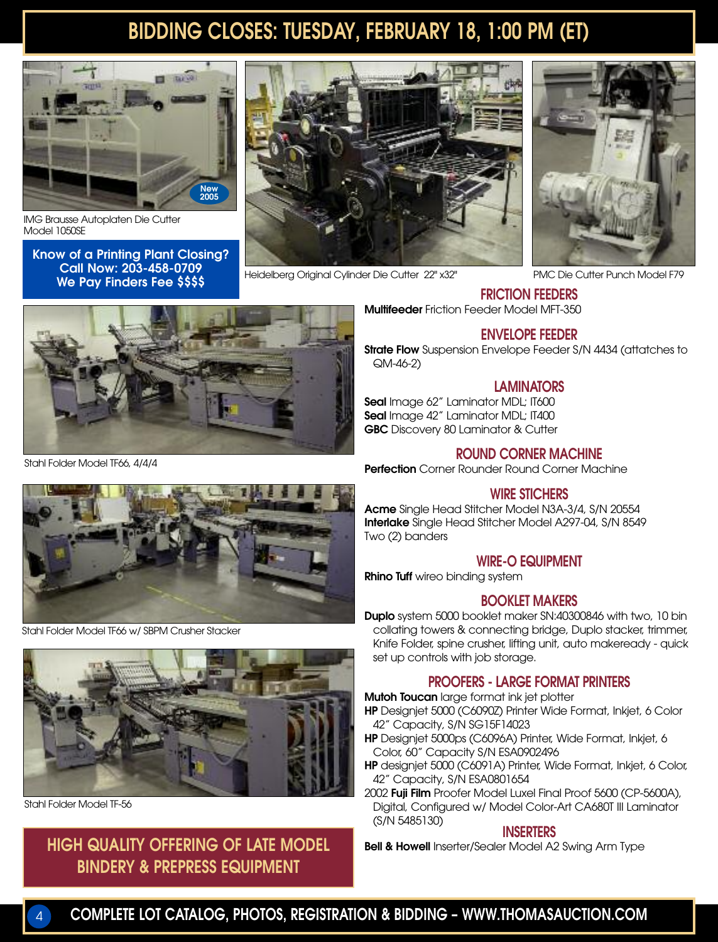### **BIDDING CLOSES: TUESDAY, FEBRUARY 18, 1:00 PM (ET)**



IMG Brausse Autoplaten Die Cutter Model 1050SE

**Know of a Printing Plant Closing? Call Now: 203-458-0709 We Pay Finders Fee \$\$\$\$**



Heidelberg Original Cylinder Die Cutter 22" x32"



PMC Die Cutter Punch Model F79

### **FRICTION FEEDERS**

**Multifeeder** Friction Feeder Model MFT-350

#### **ENVELOPE FEEDER**

**Strate Flow** Suspension Envelope Feeder S/N 4434 (attatches to QM-46-2)

#### **LAMINATORS**

**Seal** Image 62" Laminator MDL; IT600 **Seal** Image 42" Laminator MDL; IT400 **GBC** Discovery 80 Laminator & Cutter

#### **ROUND CORNER MACHINE**

**Perfection** Corner Rounder Round Corner Machine

#### **WIRE STICHERS**

**Acme** Single Head Stitcher Model N3A-3/4, S/N 20554 **Interlake** Single Head Stitcher Model A297-04, S/N 8549 Two (2) banders

#### **WIRE-O EQUIPMENT**

**Rhino Tuff** wireo binding system

#### **BOOKLET MAKERS**

**Duplo** system 5000 booklet maker SN:40300846 with two, 10 bin collating towers & connecting bridge, Duplo stacker, trimmer, Knife Folder, spine crusher, lifting unit, auto makeready - quick set up controls with job storage.

#### **PROOFERS - LARGE FORMAT PRINTERS**

**Mutoh Toucan** large format ink jet plotter

- **HP** Designjet 5000 (C6090Z) Printer Wide Format, Inkjet, 6 Color 42" Capacity, S/N SG15F14023
- **HP** Designjet 5000ps (C6096A) Printer, Wide Format, Inkjet, 6 Color, 60" Capacity S/N ESA0902496
- **HP** designjet 5000 (C6091A) Printer, Wide Format, Inkjet, 6 Color, 42" Capacity, S/N ESA0801654
- 2002 **Fuji Film** Proofer Model Luxel Final Proof 5600 (CP-5600A), Digital, Configured w/ Model Color-Art CA680T III Laminator (S/N 5485130)

#### **INSERTERS**

**Bell & Howell** Inserter/Sealer Model A2 Swing Arm Type

Stahl Folder Model TF66, 4/4/4



Stahl Folder Model TF66 w/ SBPM Crusher Stacker



Stahl Folder Model TF-56

### **HIGH QUALITY OFFERING OF LATE MODEL BINDERY & PREPRESS EQUIPMENT**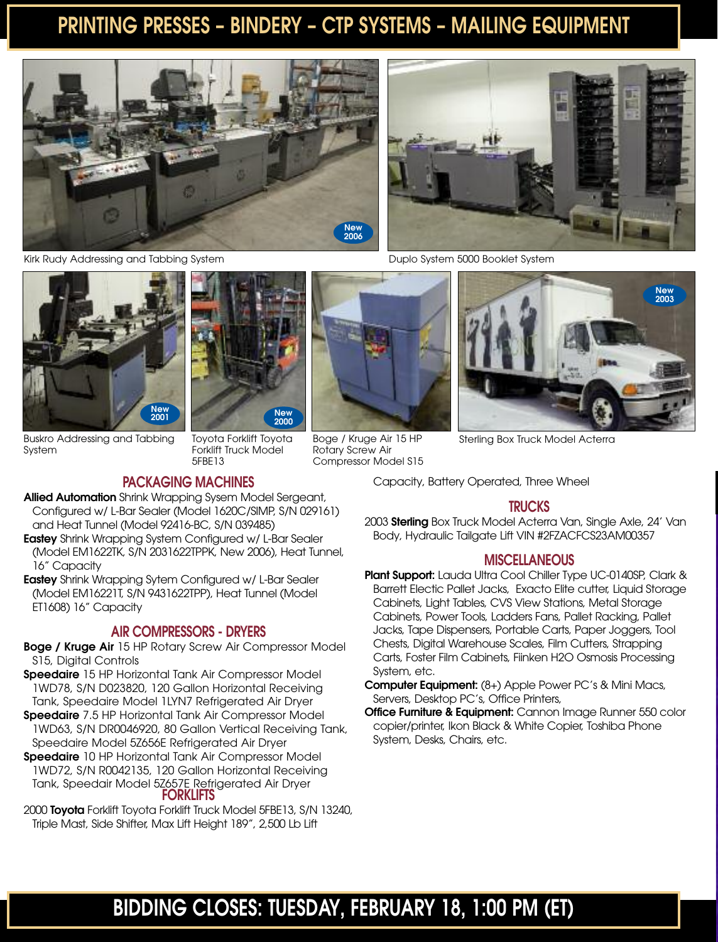### **PRINTING PRESSES – BINDERY – CTP SYSTEMS – MAILING EQUIPMENT**

Boge / Kruge Air 15 HP Rotary Screw Air Compressor Model S15





Kirk Rudy Addressing and Tabbing System



Buskro Addressing and Tabbing System

#### **PACKAGING MACHINES**

5FBE13

Toyota Forklift Toyota Forklift Truck Model

- **Allied Automation** Shrink Wrapping Sysem Model Sergeant, Configured w/ L-Bar Sealer (Model 1620C/SIMP, S/N 029161) and Heat Tunnel (Model 92416-BC, S/N 039485)
- **Eastey** Shrink Wrapping System Configured w/ L-Bar Sealer (Model EM1622TK, S/N 2031622TPPK, New 2006), Heat Tunnel, 16" Capacity
- **Eastey** Shrink Wrapping Sytem Configured w/ L-Bar Sealer (Model EM16221T, S/N 9431622TPP), Heat Tunnel (Model ET1608) 16" Capacity

#### **AIR COMPRESSORS - DRYERS**

- **Boge / Kruge Air** 15 HP Rotary Screw Air Compressor Model S15, Digital Controls
- **Speedaire** 15 HP Horizontal Tank Air Compressor Model 1WD78, S/N D023820, 120 Gallon Horizontal Receiving Tank, Speedaire Model 1LYN7 Refrigerated Air Dryer
- **Speedaire** 7.5 HP Horizontal Tank Air Compressor Model 1WD63, S/N DR0046920, 80 Gallon Vertical Receiving Tank, Speedaire Model 5Z656E Refrigerated Air Dryer
- **Speedaire** 10 HP Horizontal Tank Air Compressor Model 1WD72, S/N R0042135, 120 Gallon Horizontal Receiving Tank, Speedair Model 5Z657E Refrigerated Air Dryer **FORKLIFTS**
- 2000 **Toyota** Forklift Toyota Forklift Truck Model 5FBE13, S/N 13240, Triple Mast, Side Shifter, Max Lift Height 189", 2,500 Lb Lift

Duplo System 5000 Booklet System



Sterling Box Truck Model Acterra

Capacity, Battery Operated, Three Wheel

#### **TRUCKS**

2003 **Sterling** Box Truck Model Acterra Van, Single Axle, 24' Van Body, Hydraulic Tailgate Lift VIN #2FZACFCS23AM00357

#### **MISCELLANEOUS**

- **Plant Support:** Lauda Ultra Cool Chiller Type UC-0140SP, Clark & Barrett Electic Pallet Jacks, Exacto Elite cutter, Liquid Storage Cabinets, Light Tables, CVS View Stations, Metal Storage Cabinets, Power Tools, Ladders Fans, Pallet Racking, Pallet Jacks, Tape Dispensers, Portable Carts, Paper Joggers, Tool Chests, Digital Warehouse Scales, Film Cutters, Strapping Carts, Foster Film Cabinets, Fiinken H2O Osmosis Processing System, etc.
- **Computer Equipment:** (8+) Apple Power PC's & Mini Macs, Servers, Desktop PC's, Office Printers,
- **Office Furniture & Equipment:** Cannon Image Runner 550 color copier/printer, Ikon Black & White Copier, Toshiba Phone System, Desks, Chairs, etc.

### **BIDDING CLOSES: TUESDAY, FEBRUARY 18, 1:00 PM (ET)**